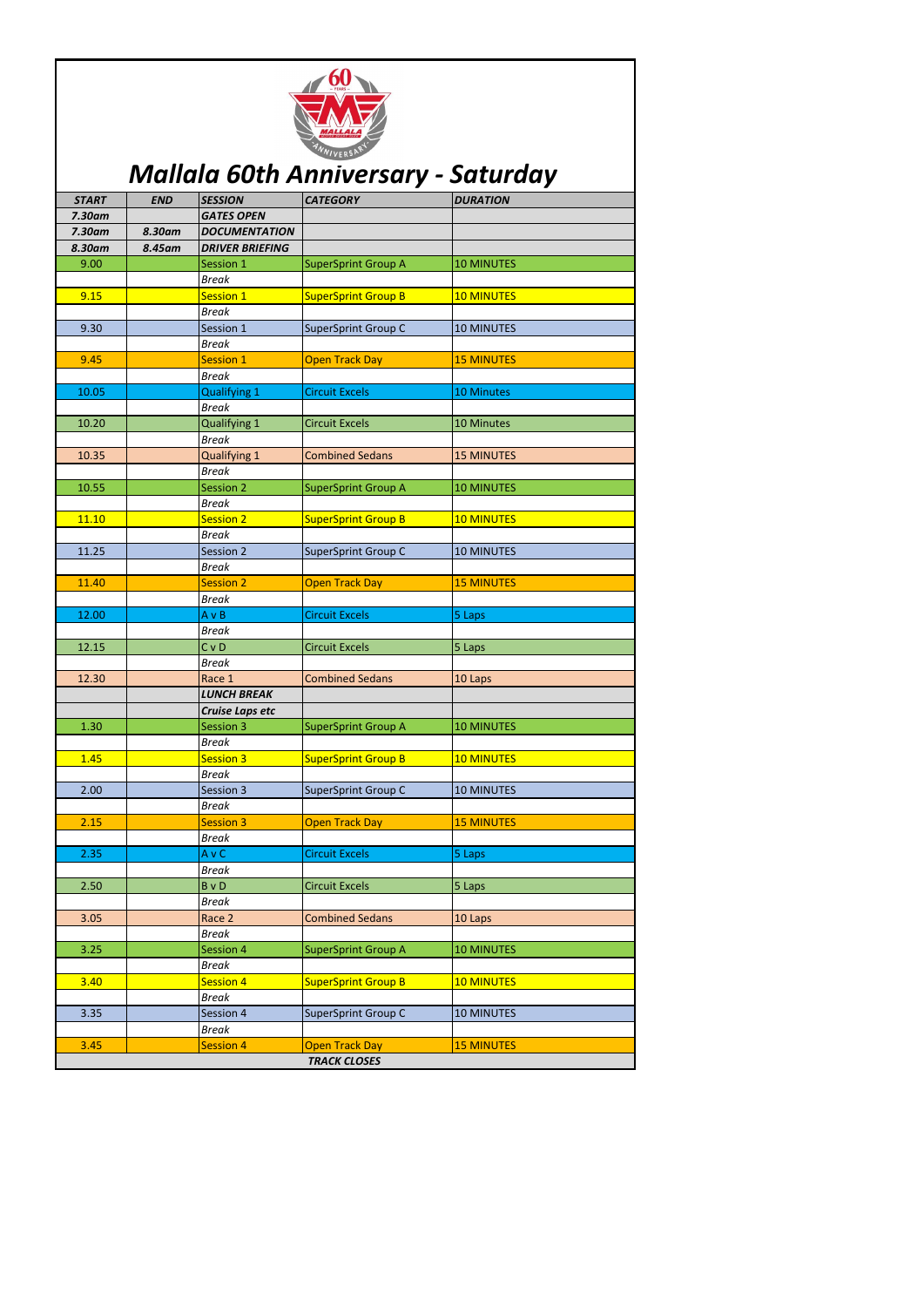| <b>START</b> | <b>END</b> | <b>SESSION</b>            | <b>CATEGORY</b>            | <b>DURATION</b>   |
|--------------|------------|---------------------------|----------------------------|-------------------|
| 7.30am       |            | <b>GATES OPEN</b>         |                            |                   |
| $7.30$ am    | 8.30am     | <b>DOCUMENTATION</b>      |                            |                   |
| 8.30am       | 8.45am     | <b>DRIVER BRIEFING</b>    |                            |                   |
| 9.00         |            | Session 1                 | <b>SuperSprint Group A</b> | <b>10 MINUTES</b> |
|              |            | <b>Break</b>              |                            |                   |
| 9.15         |            | Session 1                 | <b>SuperSprint Group B</b> | <b>10 MINUTES</b> |
|              |            | <b>Break</b>              |                            |                   |
| 9.30         |            | Session 1                 | <b>SuperSprint Group C</b> | <b>10 MINUTES</b> |
|              |            | <b>Break</b>              |                            |                   |
| 9.45         |            | <b>Session 1</b>          | <b>Open Track Day</b>      | <b>15 MINUTES</b> |
|              |            | <b>Break</b>              |                            |                   |
| 10.05        |            | Qualifying 1              | <b>Circuit Excels</b>      | <b>10 Minutes</b> |
|              |            | <b>Break</b>              |                            |                   |
| 10.20        |            | <b>Qualifying 1</b>       | <b>Circuit Excels</b>      | 10 Minutes        |
|              |            | <b>Break</b>              |                            |                   |
| 10.35        |            | <b>Qualifying 1</b>       | <b>Combined Sedans</b>     | <b>15 MINUTES</b> |
|              |            | <b>Break</b>              |                            |                   |
| 10.55        |            | <b>Session 2</b>          | <b>SuperSprint Group A</b> | <b>10 MINUTES</b> |
|              |            | <b>Break</b>              |                            |                   |
| 11.10        |            | <b>Session 2</b>          | <b>SuperSprint Group B</b> | <b>10 MINUTES</b> |
|              |            | <b>Break</b>              |                            |                   |
| 11.25        |            | Session 2                 | SuperSprint Group C        | <b>10 MINUTES</b> |
|              |            | <b>Break</b>              |                            |                   |
| 11.40        |            | <b>Session 2</b>          | <b>Open Track Day</b>      | <b>15 MINUTES</b> |
|              |            | <b>Break</b>              |                            |                   |
| 12.00        |            | $A \vee B$                | <b>Circuit Excels</b>      | 5 Laps            |
| 12.15        |            | <b>Break</b><br>$C$ v $D$ |                            |                   |
|              |            | <b>Break</b>              | <b>Circuit Excels</b>      | 5 Laps            |
| 12.30        |            | Race 1                    | <b>Combined Sedans</b>     | 10 Laps           |
|              |            | <b>LUNCH BREAK</b>        |                            |                   |
|              |            | Cruise Laps etc           |                            |                   |
| 1.30         |            | Session 3                 | <b>SuperSprint Group A</b> | <b>10 MINUTES</b> |
|              |            | <b>Break</b>              |                            |                   |
| 1.45         |            | <b>Session 3</b>          | <b>SuperSprint Group B</b> | <b>10 MINUTES</b> |
|              |            | <b>Break</b>              |                            |                   |
| 2.00         |            | Session 3                 | <b>SuperSprint Group C</b> | <b>10 MINUTES</b> |
|              |            | <b>Break</b>              |                            |                   |
| 2.15         |            | <b>Session 3</b>          | <b>Open Track Day</b>      | <b>15 MINUTES</b> |
|              |            | <b>Break</b>              |                            |                   |
| 2.35         |            | A v C                     | <b>Circuit Excels</b>      | 5 Laps            |
|              |            | <b>Break</b>              |                            |                   |
| 2.50         |            | <b>B</b> v D              | <b>Circuit Excels</b>      | 5 Laps            |
|              |            | <b>Break</b>              |                            |                   |
| 3.05         |            | Race 2                    | <b>Combined Sedans</b>     | 10 Laps           |
|              |            | <b>Break</b>              |                            |                   |
| 3.25         |            | Session 4                 | <b>SuperSprint Group A</b> | <b>10 MINUTES</b> |
|              |            | <b>Break</b>              |                            |                   |
| 3.40         |            | <b>Session 4</b>          | <b>SuperSprint Group B</b> | <b>10 MINUTES</b> |
|              |            | <b>Break</b>              |                            |                   |
| 3.35         |            | Session 4                 | <b>SuperSprint Group C</b> | <b>10 MINUTES</b> |
|              |            | <b>Break</b>              |                            |                   |
| 3.45         |            | <b>Session 4</b>          | <b>Open Track Day</b>      | <b>15 MINUTES</b> |
|              |            |                           | <b>TRACK CLOSES</b>        |                   |



## *Mallala 60th Anniversary - Saturday*